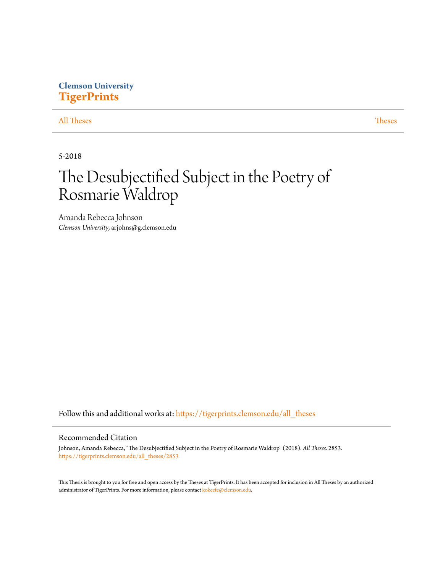# **Clemson University [TigerPrints](https://tigerprints.clemson.edu?utm_source=tigerprints.clemson.edu%2Fall_theses%2F2853&utm_medium=PDF&utm_campaign=PDFCoverPages)**

# [All Theses](https://tigerprints.clemson.edu/all_theses?utm_source=tigerprints.clemson.edu%2Fall_theses%2F2853&utm_medium=PDF&utm_campaign=PDFCoverPages) **[Theses](https://tigerprints.clemson.edu/theses?utm_source=tigerprints.clemson.edu%2Fall_theses%2F2853&utm_medium=PDF&utm_campaign=PDFCoverPages)**

5-2018

# The Desubjectified Subject in the Poetry of Rosmarie Waldrop

Amanda Rebecca Johnson *Clemson University*, arjohns@g.clemson.edu

Follow this and additional works at: [https://tigerprints.clemson.edu/all\\_theses](https://tigerprints.clemson.edu/all_theses?utm_source=tigerprints.clemson.edu%2Fall_theses%2F2853&utm_medium=PDF&utm_campaign=PDFCoverPages)

#### Recommended Citation

Johnson, Amanda Rebecca, "The Desubjectified Subject in the Poetry of Rosmarie Waldrop" (2018). *All Theses*. 2853. [https://tigerprints.clemson.edu/all\\_theses/2853](https://tigerprints.clemson.edu/all_theses/2853?utm_source=tigerprints.clemson.edu%2Fall_theses%2F2853&utm_medium=PDF&utm_campaign=PDFCoverPages)

This Thesis is brought to you for free and open access by the Theses at TigerPrints. It has been accepted for inclusion in All Theses by an authorized administrator of TigerPrints. For more information, please contact [kokeefe@clemson.edu](mailto:kokeefe@clemson.edu).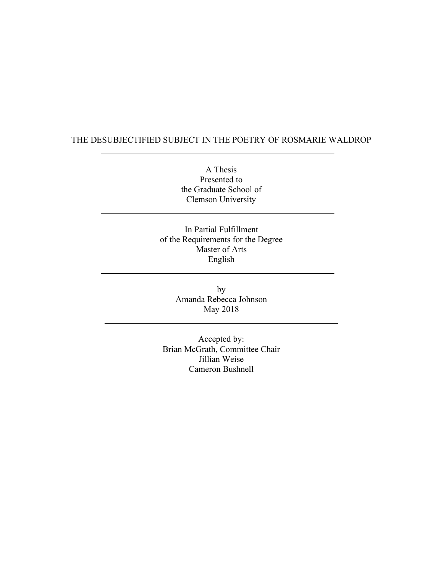# THE DESUBJECTIFIED SUBJECT IN THE POETRY OF ROSMARIE WALDROP

A Thesis Presented to the Graduate School of Clemson University

In Partial Fulfillment of the Requirements for the Degree Master of Arts English

> by Amanda Rebecca Johnson May 2018

Accepted by: Brian McGrath, Committee Chair Jillian Weise Cameron Bushnell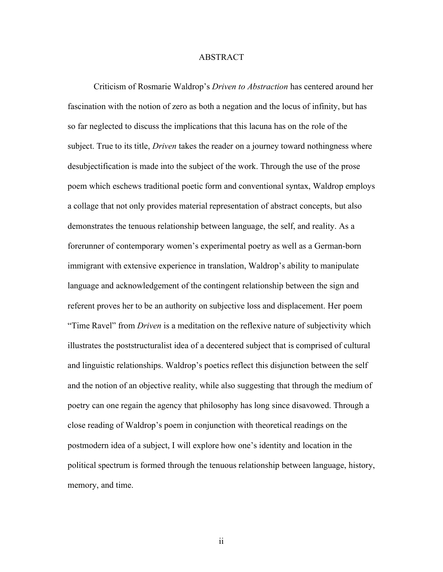#### ABSTRACT

Criticism of Rosmarie Waldrop's *Driven to Abstraction* has centered around her fascination with the notion of zero as both a negation and the locus of infinity, but has so far neglected to discuss the implications that this lacuna has on the role of the subject. True to its title, *Driven* takes the reader on a journey toward nothingness where desubjectification is made into the subject of the work. Through the use of the prose poem which eschews traditional poetic form and conventional syntax, Waldrop employs a collage that not only provides material representation of abstract concepts, but also demonstrates the tenuous relationship between language, the self, and reality. As a forerunner of contemporary women's experimental poetry as well as a German-born immigrant with extensive experience in translation, Waldrop's ability to manipulate language and acknowledgement of the contingent relationship between the sign and referent proves her to be an authority on subjective loss and displacement. Her poem "Time Ravel" from *Driven* is a meditation on the reflexive nature of subjectivity which illustrates the poststructuralist idea of a decentered subject that is comprised of cultural and linguistic relationships. Waldrop's poetics reflect this disjunction between the self and the notion of an objective reality, while also suggesting that through the medium of poetry can one regain the agency that philosophy has long since disavowed. Through a close reading of Waldrop's poem in conjunction with theoretical readings on the postmodern idea of a subject, I will explore how one's identity and location in the political spectrum is formed through the tenuous relationship between language, history, memory, and time.

ii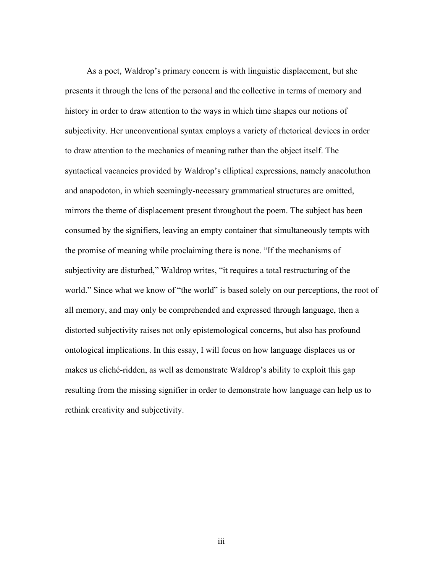As a poet, Waldrop's primary concern is with linguistic displacement, but she presents it through the lens of the personal and the collective in terms of memory and history in order to draw attention to the ways in which time shapes our notions of subjectivity. Her unconventional syntax employs a variety of rhetorical devices in order to draw attention to the mechanics of meaning rather than the object itself. The syntactical vacancies provided by Waldrop's elliptical expressions, namely anacoluthon and anapodoton, in which seemingly-necessary grammatical structures are omitted, mirrors the theme of displacement present throughout the poem. The subject has been consumed by the signifiers, leaving an empty container that simultaneously tempts with the promise of meaning while proclaiming there is none. "If the mechanisms of subjectivity are disturbed," Waldrop writes, "it requires a total restructuring of the world." Since what we know of "the world" is based solely on our perceptions, the root of all memory, and may only be comprehended and expressed through language, then a distorted subjectivity raises not only epistemological concerns, but also has profound ontological implications. In this essay, I will focus on how language displaces us or makes us cliché-ridden, as well as demonstrate Waldrop's ability to exploit this gap resulting from the missing signifier in order to demonstrate how language can help us to rethink creativity and subjectivity.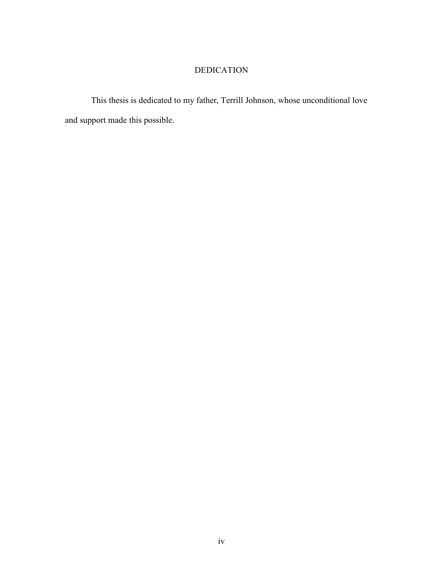# DEDICATION

This thesis is dedicated to my father, Terrill Johnson, whose unconditional love and support made this possible.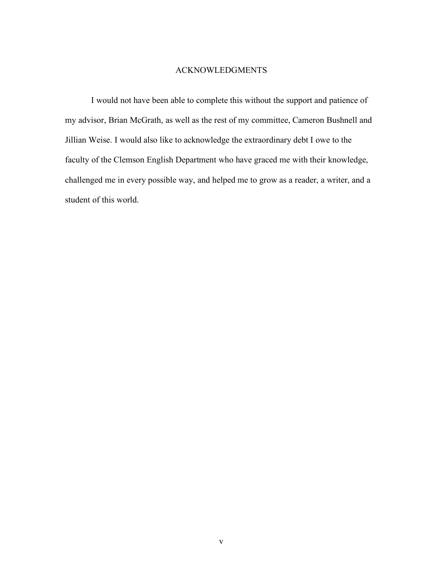# ACKNOWLEDGMENTS

I would not have been able to complete this without the support and patience of my advisor, Brian McGrath, as well as the rest of my committee, Cameron Bushnell and Jillian Weise. I would also like to acknowledge the extraordinary debt I owe to the faculty of the Clemson English Department who have graced me with their knowledge, challenged me in every possible way, and helped me to grow as a reader, a writer, and a student of this world.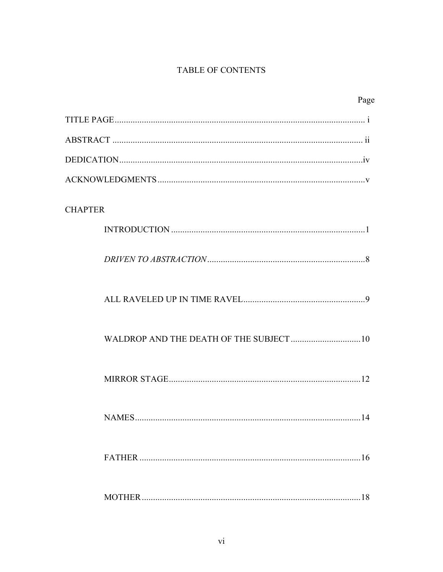# TABLE OF CONTENTS

| Page               |
|--------------------|
|                    |
|                    |
|                    |
|                    |
| <b>CHAPTER</b>     |
|                    |
|                    |
|                    |
|                    |
|                    |
| <b>NAMES</b><br>14 |
|                    |
|                    |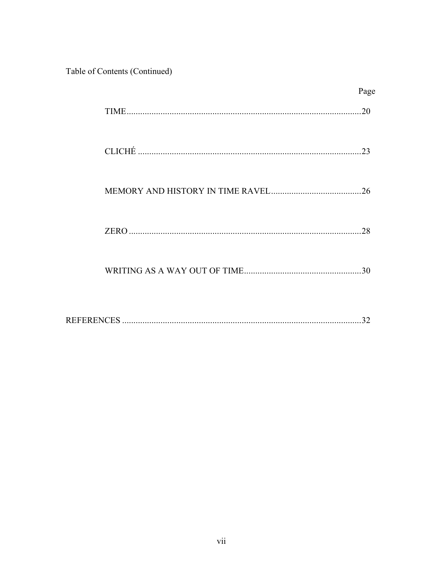Table of Contents (Continued)

| Page |
|------|
| 20   |
| 23   |
|      |
| 28   |
| 30   |
|      |

|--|--|--|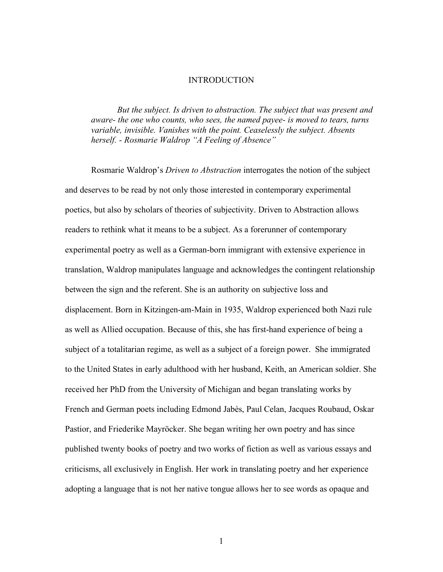### **INTRODUCTION**

*But the subject. Is driven to abstraction. The subject that was present and aware- the one who counts, who sees, the named payee- is moved to tears, turns variable, invisible. Vanishes with the point. Ceaselessly the subject. Absents herself. - Rosmarie Waldrop "A Feeling of Absence"*

Rosmarie Waldrop's *Driven to Abstraction* interrogates the notion of the subject and deserves to be read by not only those interested in contemporary experimental poetics, but also by scholars of theories of subjectivity. Driven to Abstraction allows readers to rethink what it means to be a subject. As a forerunner of contemporary experimental poetry as well as a German-born immigrant with extensive experience in translation, Waldrop manipulates language and acknowledges the contingent relationship between the sign and the referent. She is an authority on subjective loss and displacement. Born in Kitzingen-am-Main in 1935, Waldrop experienced both Nazi rule as well as Allied occupation. Because of this, she has first-hand experience of being a subject of a totalitarian regime, as well as a subject of a foreign power. She immigrated to the United States in early adulthood with her husband, Keith, an American soldier. She received her PhD from the University of Michigan and began translating works by French and German poets including Edmond Jabès, Paul Celan, Jacques Roubaud, Oskar Pastior, and Friederike Mayröcker. She began writing her own poetry and has since published twenty books of poetry and two works of fiction as well as various essays and criticisms, all exclusively in English. Her work in translating poetry and her experience adopting a language that is not her native tongue allows her to see words as opaque and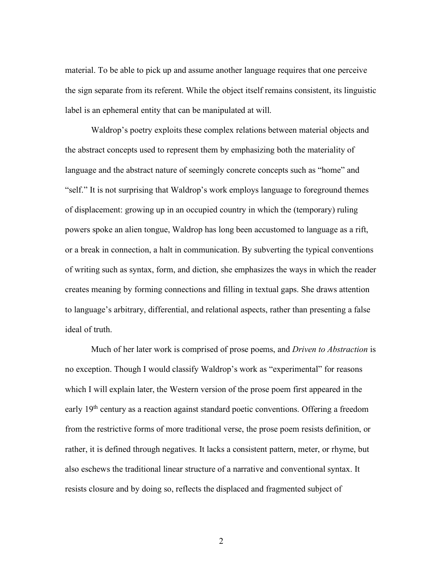material. To be able to pick up and assume another language requires that one perceive the sign separate from its referent. While the object itself remains consistent, its linguistic label is an ephemeral entity that can be manipulated at will.

Waldrop's poetry exploits these complex relations between material objects and the abstract concepts used to represent them by emphasizing both the materiality of language and the abstract nature of seemingly concrete concepts such as "home" and "self." It is not surprising that Waldrop's work employs language to foreground themes of displacement: growing up in an occupied country in which the (temporary) ruling powers spoke an alien tongue, Waldrop has long been accustomed to language as a rift, or a break in connection, a halt in communication. By subverting the typical conventions of writing such as syntax, form, and diction, she emphasizes the ways in which the reader creates meaning by forming connections and filling in textual gaps. She draws attention to language's arbitrary, differential, and relational aspects, rather than presenting a false ideal of truth.

Much of her later work is comprised of prose poems, and *Driven to Abstraction* is no exception. Though I would classify Waldrop's work as "experimental" for reasons which I will explain later, the Western version of the prose poem first appeared in the early 19<sup>th</sup> century as a reaction against standard poetic conventions. Offering a freedom from the restrictive forms of more traditional verse, the prose poem resists definition, or rather, it is defined through negatives. It lacks a consistent pattern, meter, or rhyme, but also eschews the traditional linear structure of a narrative and conventional syntax. It resists closure and by doing so, reflects the displaced and fragmented subject of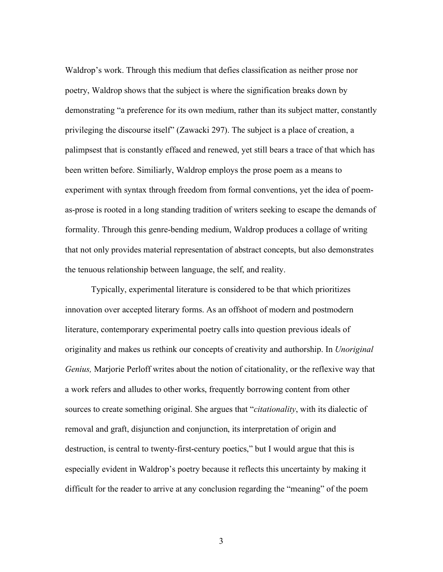Waldrop's work. Through this medium that defies classification as neither prose nor poetry, Waldrop shows that the subject is where the signification breaks down by demonstrating "a preference for its own medium, rather than its subject matter, constantly privileging the discourse itself" (Zawacki 297). The subject is a place of creation, a palimpsest that is constantly effaced and renewed, yet still bears a trace of that which has been written before. Similiarly, Waldrop employs the prose poem as a means to experiment with syntax through freedom from formal conventions, yet the idea of poemas-prose is rooted in a long standing tradition of writers seeking to escape the demands of formality. Through this genre-bending medium, Waldrop produces a collage of writing that not only provides material representation of abstract concepts, but also demonstrates the tenuous relationship between language, the self, and reality.

Typically, experimental literature is considered to be that which prioritizes innovation over accepted literary forms. As an offshoot of modern and postmodern literature, contemporary experimental poetry calls into question previous ideals of originality and makes us rethink our concepts of creativity and authorship. In *Unoriginal Genius,* Marjorie Perloff writes about the notion of citationality, or the reflexive way that a work refers and alludes to other works, frequently borrowing content from other sources to create something original. She argues that "*citationality*, with its dialectic of removal and graft, disjunction and conjunction, its interpretation of origin and destruction, is central to twenty-first-century poetics," but I would argue that this is especially evident in Waldrop's poetry because it reflects this uncertainty by making it difficult for the reader to arrive at any conclusion regarding the "meaning" of the poem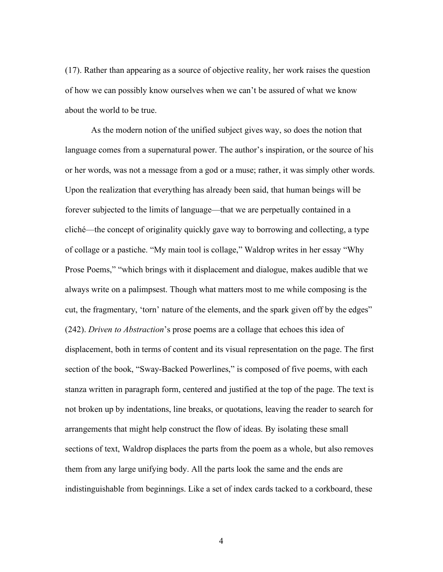(17). Rather than appearing as a source of objective reality, her work raises the question of how we can possibly know ourselves when we can't be assured of what we know about the world to be true.

As the modern notion of the unified subject gives way, so does the notion that language comes from a supernatural power. The author's inspiration, or the source of his or her words, was not a message from a god or a muse; rather, it was simply other words. Upon the realization that everything has already been said, that human beings will be forever subjected to the limits of language—that we are perpetually contained in a cliché—the concept of originality quickly gave way to borrowing and collecting, a type of collage or a pastiche. "My main tool is collage," Waldrop writes in her essay "Why Prose Poems," "which brings with it displacement and dialogue, makes audible that we always write on a palimpsest. Though what matters most to me while composing is the cut, the fragmentary, 'torn' nature of the elements, and the spark given off by the edges" (242). *Driven to Abstraction*'s prose poems are a collage that echoes this idea of displacement, both in terms of content and its visual representation on the page. The first section of the book, "Sway-Backed Powerlines," is composed of five poems, with each stanza written in paragraph form, centered and justified at the top of the page. The text is not broken up by indentations, line breaks, or quotations, leaving the reader to search for arrangements that might help construct the flow of ideas. By isolating these small sections of text, Waldrop displaces the parts from the poem as a whole, but also removes them from any large unifying body. All the parts look the same and the ends are indistinguishable from beginnings. Like a set of index cards tacked to a corkboard, these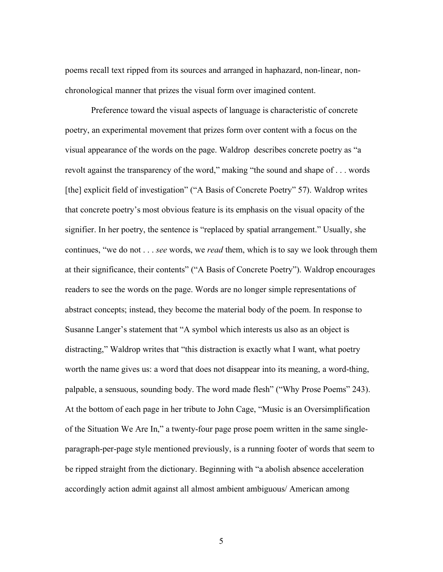poems recall text ripped from its sources and arranged in haphazard, non-linear, nonchronological manner that prizes the visual form over imagined content.

Preference toward the visual aspects of language is characteristic of concrete poetry, an experimental movement that prizes form over content with a focus on the visual appearance of the words on the page. Waldrop describes concrete poetry as "a revolt against the transparency of the word," making "the sound and shape of . . . words [the] explicit field of investigation" ("A Basis of Concrete Poetry" 57). Waldrop writes that concrete poetry's most obvious feature is its emphasis on the visual opacity of the signifier. In her poetry, the sentence is "replaced by spatial arrangement." Usually, she continues, "we do not . . . *see* words, we *read* them, which is to say we look through them at their significance, their contents" ("A Basis of Concrete Poetry"). Waldrop encourages readers to see the words on the page. Words are no longer simple representations of abstract concepts; instead, they become the material body of the poem. In response to Susanne Langer's statement that "A symbol which interests us also as an object is distracting," Waldrop writes that "this distraction is exactly what I want, what poetry worth the name gives us: a word that does not disappear into its meaning, a word-thing, palpable, a sensuous, sounding body. The word made flesh" ("Why Prose Poems" 243). At the bottom of each page in her tribute to John Cage, "Music is an Oversimplification of the Situation We Are In," a twenty-four page prose poem written in the same singleparagraph-per-page style mentioned previously, is a running footer of words that seem to be ripped straight from the dictionary. Beginning with "a abolish absence acceleration accordingly action admit against all almost ambient ambiguous/ American among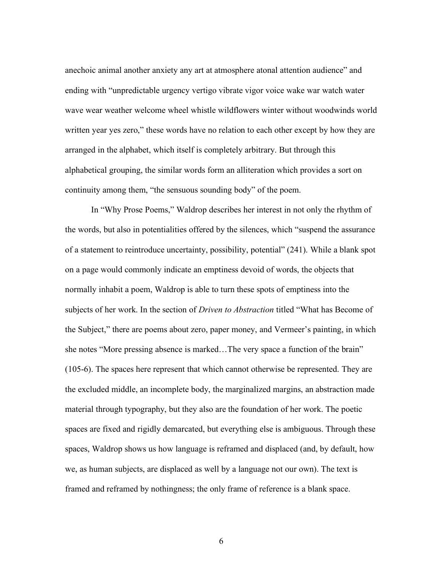anechoic animal another anxiety any art at atmosphere atonal attention audience" and ending with "unpredictable urgency vertigo vibrate vigor voice wake war watch water wave wear weather welcome wheel whistle wildflowers winter without woodwinds world written year yes zero," these words have no relation to each other except by how they are arranged in the alphabet, which itself is completely arbitrary. But through this alphabetical grouping, the similar words form an alliteration which provides a sort on continuity among them, "the sensuous sounding body" of the poem.

In "Why Prose Poems," Waldrop describes her interest in not only the rhythm of the words, but also in potentialities offered by the silences, which "suspend the assurance of a statement to reintroduce uncertainty, possibility, potential" (241). While a blank spot on a page would commonly indicate an emptiness devoid of words, the objects that normally inhabit a poem, Waldrop is able to turn these spots of emptiness into the subjects of her work. In the section of *Driven to Abstraction* titled "What has Become of the Subject," there are poems about zero, paper money, and Vermeer's painting, in which she notes "More pressing absence is marked…The very space a function of the brain" (105-6). The spaces here represent that which cannot otherwise be represented. They are the excluded middle, an incomplete body, the marginalized margins, an abstraction made material through typography, but they also are the foundation of her work. The poetic spaces are fixed and rigidly demarcated, but everything else is ambiguous. Through these spaces, Waldrop shows us how language is reframed and displaced (and, by default, how we, as human subjects, are displaced as well by a language not our own). The text is framed and reframed by nothingness; the only frame of reference is a blank space.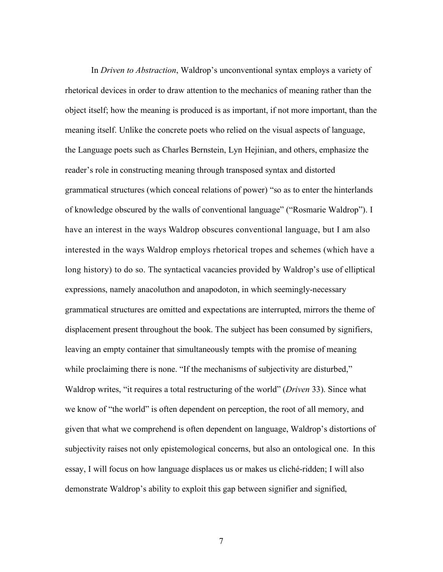In *Driven to Abstraction*, Waldrop's unconventional syntax employs a variety of rhetorical devices in order to draw attention to the mechanics of meaning rather than the object itself; how the meaning is produced is as important, if not more important, than the meaning itself. Unlike the concrete poets who relied on the visual aspects of language, the Language poets such as Charles Bernstein, Lyn Hejinian, and others, emphasize the reader's role in constructing meaning through transposed syntax and distorted grammatical structures (which conceal relations of power) "so as to enter the hinterlands of knowledge obscured by the walls of conventional language" ("Rosmarie Waldrop"). I have an interest in the ways Waldrop obscures conventional language, but I am also interested in the ways Waldrop employs rhetorical tropes and schemes (which have a long history) to do so. The syntactical vacancies provided by Waldrop's use of elliptical expressions, namely anacoluthon and anapodoton, in which seemingly-necessary grammatical structures are omitted and expectations are interrupted, mirrors the theme of displacement present throughout the book. The subject has been consumed by signifiers, leaving an empty container that simultaneously tempts with the promise of meaning while proclaiming there is none. "If the mechanisms of subjectivity are disturbed," Waldrop writes, "it requires a total restructuring of the world" (*Driven* 33). Since what we know of "the world" is often dependent on perception, the root of all memory, and given that what we comprehend is often dependent on language, Waldrop's distortions of subjectivity raises not only epistemological concerns, but also an ontological one. In this essay, I will focus on how language displaces us or makes us cliché-ridden; I will also demonstrate Waldrop's ability to exploit this gap between signifier and signified,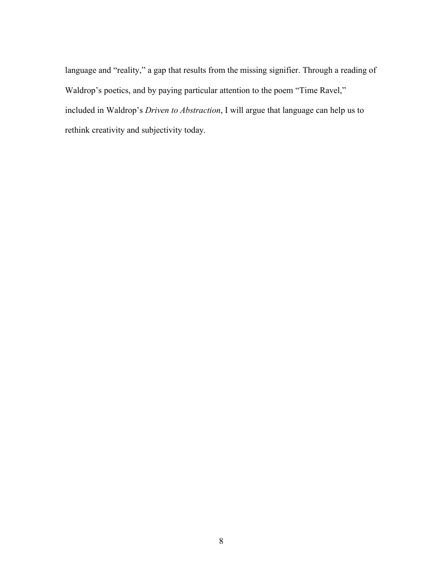language and "reality," a gap that results from the missing signifier. Through a reading of Waldrop's poetics, and by paying particular attention to the poem "Time Ravel," included in Waldrop's *Driven to Abstraction*, I will argue that language can help us to rethink creativity and subjectivity today.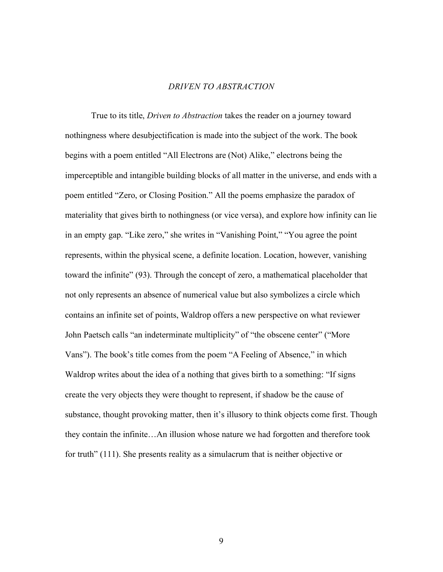### *DRIVEN TO ABSTRACTION*

True to its title, *Driven to Abstraction* takes the reader on a journey toward nothingness where desubjectification is made into the subject of the work. The book begins with a poem entitled "All Electrons are (Not) Alike," electrons being the imperceptible and intangible building blocks of all matter in the universe, and ends with a poem entitled "Zero, or Closing Position." All the poems emphasize the paradox of materiality that gives birth to nothingness (or vice versa), and explore how infinity can lie in an empty gap. "Like zero," she writes in "Vanishing Point," "You agree the point represents, within the physical scene, a definite location. Location, however, vanishing toward the infinite" (93). Through the concept of zero, a mathematical placeholder that not only represents an absence of numerical value but also symbolizes a circle which contains an infinite set of points, Waldrop offers a new perspective on what reviewer John Paetsch calls "an indeterminate multiplicity" of "the obscene center" ("More Vans"). The book's title comes from the poem "A Feeling of Absence," in which Waldrop writes about the idea of a nothing that gives birth to a something: "If signs create the very objects they were thought to represent, if shadow be the cause of substance, thought provoking matter, then it's illusory to think objects come first. Though they contain the infinite…An illusion whose nature we had forgotten and therefore took for truth" (111). She presents reality as a simulacrum that is neither objective or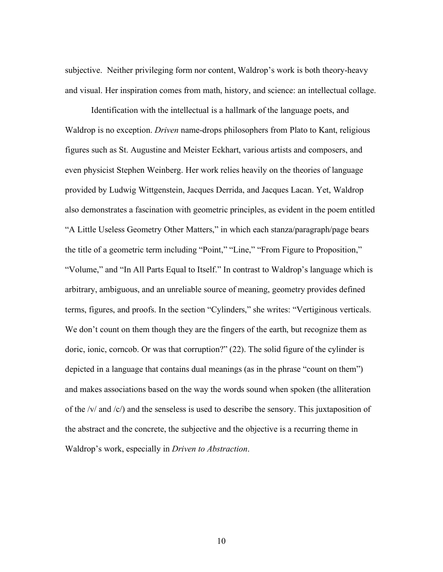subjective. Neither privileging form nor content, Waldrop's work is both theory-heavy and visual. Her inspiration comes from math, history, and science: an intellectual collage.

Identification with the intellectual is a hallmark of the language poets, and Waldrop is no exception. *Driven* name-drops philosophers from Plato to Kant, religious figures such as St. Augustine and Meister Eckhart, various artists and composers, and even physicist Stephen Weinberg. Her work relies heavily on the theories of language provided by Ludwig Wittgenstein, Jacques Derrida, and Jacques Lacan. Yet, Waldrop also demonstrates a fascination with geometric principles, as evident in the poem entitled "A Little Useless Geometry Other Matters," in which each stanza/paragraph/page bears the title of a geometric term including "Point," "Line," "From Figure to Proposition," "Volume," and "In All Parts Equal to Itself." In contrast to Waldrop's language which is arbitrary, ambiguous, and an unreliable source of meaning, geometry provides defined terms, figures, and proofs. In the section "Cylinders," she writes: "Vertiginous verticals. We don't count on them though they are the fingers of the earth, but recognize them as doric, ionic, corncob. Or was that corruption?" (22). The solid figure of the cylinder is depicted in a language that contains dual meanings (as in the phrase "count on them") and makes associations based on the way the words sound when spoken (the alliteration of the /v/ and /c/) and the senseless is used to describe the sensory. This juxtaposition of the abstract and the concrete, the subjective and the objective is a recurring theme in Waldrop's work, especially in *Driven to Abstraction*.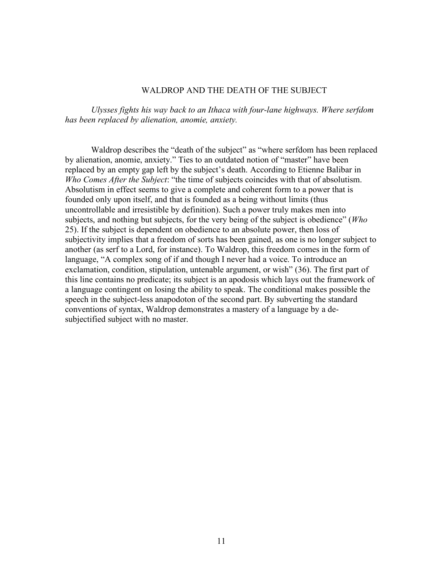#### WALDROP AND THE DEATH OF THE SUBJECT

*Ulysses fights his way back to an Ithaca with four-lane highways. Where serfdom has been replaced by alienation, anomie, anxiety.* 

Waldrop describes the "death of the subject" as "where serfdom has been replaced by alienation, anomie, anxiety." Ties to an outdated notion of "master" have been replaced by an empty gap left by the subject's death. According to Etienne Balibar in *Who Comes After the Subject*: "the time of subjects coincides with that of absolutism. Absolutism in effect seems to give a complete and coherent form to a power that is founded only upon itself, and that is founded as a being without limits (thus uncontrollable and irresistible by definition). Such a power truly makes men into subjects, and nothing but subjects, for the very being of the subject is obedience" (*Who*  25). If the subject is dependent on obedience to an absolute power, then loss of subjectivity implies that a freedom of sorts has been gained, as one is no longer subject to another (as serf to a Lord, for instance). To Waldrop, this freedom comes in the form of language, "A complex song of if and though I never had a voice. To introduce an exclamation, condition, stipulation, untenable argument, or wish" (36). The first part of this line contains no predicate; its subject is an apodosis which lays out the framework of a language contingent on losing the ability to speak. The conditional makes possible the speech in the subject-less anapodoton of the second part. By subverting the standard conventions of syntax, Waldrop demonstrates a mastery of a language by a desubjectified subject with no master.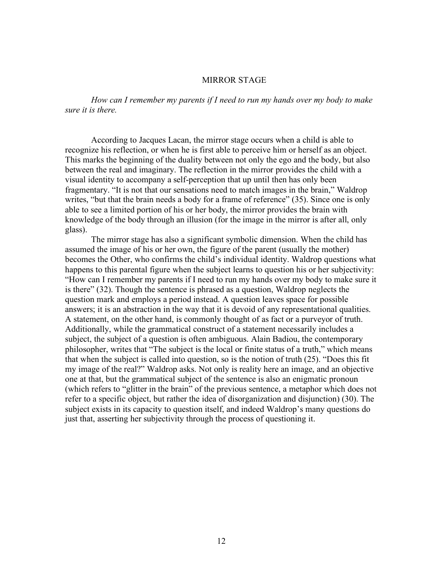# MIRROR STAGE

*How can I remember my parents if I need to run my hands over my body to make sure it is there.* 

According to Jacques Lacan, the mirror stage occurs when a child is able to recognize his reflection, or when he is first able to perceive him or herself as an object. This marks the beginning of the duality between not only the ego and the body, but also between the real and imaginary. The reflection in the mirror provides the child with a visual identity to accompany a self-perception that up until then has only been fragmentary. "It is not that our sensations need to match images in the brain," Waldrop writes, "but that the brain needs a body for a frame of reference" (35). Since one is only able to see a limited portion of his or her body, the mirror provides the brain with knowledge of the body through an illusion (for the image in the mirror is after all, only glass).

The mirror stage has also a significant symbolic dimension. When the child has assumed the image of his or her own, the figure of the parent (usually the mother) becomes the Other, who confirms the child's individual identity. Waldrop questions what happens to this parental figure when the subject learns to question his or her subjectivity: "How can I remember my parents if I need to run my hands over my body to make sure it is there" (32). Though the sentence is phrased as a question, Waldrop neglects the question mark and employs a period instead. A question leaves space for possible answers; it is an abstraction in the way that it is devoid of any representational qualities. A statement, on the other hand, is commonly thought of as fact or a purveyor of truth. Additionally, while the grammatical construct of a statement necessarily includes a subject, the subject of a question is often ambiguous. Alain Badiou, the contemporary philosopher, writes that "The subject is the local or finite status of a truth," which means that when the subject is called into question, so is the notion of truth (25). "Does this fit my image of the real?" Waldrop asks. Not only is reality here an image, and an objective one at that, but the grammatical subject of the sentence is also an enigmatic pronoun (which refers to "glitter in the brain" of the previous sentence, a metaphor which does not refer to a specific object, but rather the idea of disorganization and disjunction) (30). The subject exists in its capacity to question itself, and indeed Waldrop's many questions do just that, asserting her subjectivity through the process of questioning it.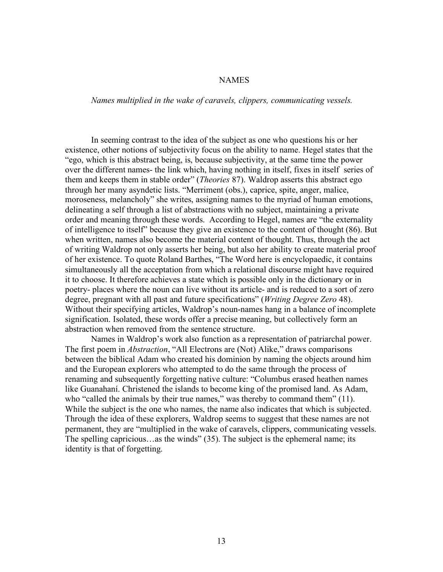#### NAMES

*Names multiplied in the wake of caravels, clippers, communicating vessels.* 

In seeming contrast to the idea of the subject as one who questions his or her existence, other notions of subjectivity focus on the ability to name. Hegel states that the "ego, which is this abstract being, is, because subjectivity, at the same time the power over the different names- the link which, having nothing in itself, fixes in itself series of them and keeps them in stable order" (*Theories* 87). Waldrop asserts this abstract ego through her many asyndetic lists. "Merriment (obs.), caprice, spite, anger, malice, moroseness, melancholy" she writes, assigning names to the myriad of human emotions, delineating a self through a list of abstractions with no subject, maintaining a private order and meaning through these words. According to Hegel, names are "the externality of intelligence to itself" because they give an existence to the content of thought (86). But when written, names also become the material content of thought. Thus, through the act of writing Waldrop not only asserts her being, but also her ability to create material proof of her existence. To quote Roland Barthes, "The Word here is encyclopaedic, it contains simultaneously all the acceptation from which a relational discourse might have required it to choose. It therefore achieves a state which is possible only in the dictionary or in poetry- places where the noun can live without its article- and is reduced to a sort of zero degree, pregnant with all past and future specifications" (*Writing Degree Zero* 48). Without their specifying articles, Waldrop's noun-names hang in a balance of incomplete signification. Isolated, these words offer a precise meaning, but collectively form an abstraction when removed from the sentence structure.

Names in Waldrop's work also function as a representation of patriarchal power. The first poem in *Abstraction*, "All Electrons are (Not) Alike," draws comparisons between the biblical Adam who created his dominion by naming the objects around him and the European explorers who attempted to do the same through the process of renaming and subsequently forgetting native culture: "Columbus erased heathen names like Guanahaní. Christened the islands to become king of the promised land. As Adam, who "called the animals by their true names," was thereby to command them" (11). While the subject is the one who names, the name also indicates that which is subjected. Through the idea of these explorers, Waldrop seems to suggest that these names are not permanent, they are "multiplied in the wake of caravels, clippers, communicating vessels. The spelling capricious…as the winds" (35). The subject is the ephemeral name; its identity is that of forgetting.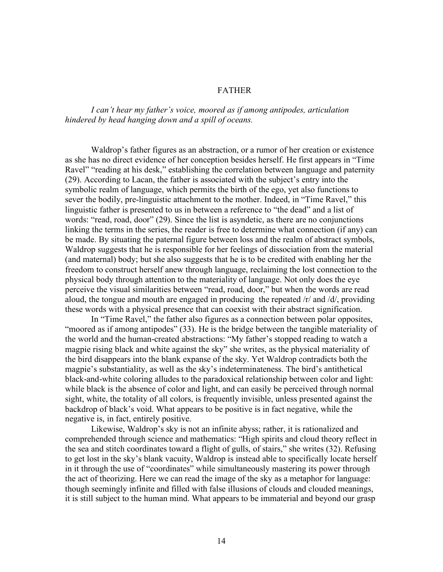# FATHER

*I can't hear my father's voice, moored as if among antipodes, articulation hindered by head hanging down and a spill of oceans.* 

Waldrop's father figures as an abstraction, or a rumor of her creation or existence as she has no direct evidence of her conception besides herself. He first appears in "Time Ravel" "reading at his desk," establishing the correlation between language and paternity (29). According to Lacan, the father is associated with the subject's entry into the symbolic realm of language, which permits the birth of the ego, yet also functions to sever the bodily, pre-linguistic attachment to the mother. Indeed, in "Time Ravel," this linguistic father is presented to us in between a reference to "the dead" and a list of words: "read, road, door" (29). Since the list is asyndetic, as there are no conjunctions linking the terms in the series, the reader is free to determine what connection (if any) can be made. By situating the paternal figure between loss and the realm of abstract symbols, Waldrop suggests that he is responsible for her feelings of dissociation from the material (and maternal) body; but she also suggests that he is to be credited with enabling her the freedom to construct herself anew through language, reclaiming the lost connection to the physical body through attention to the materiality of language. Not only does the eye perceive the visual similarities between "read, road, door," but when the words are read aloud, the tongue and mouth are engaged in producing the repeated /r/ and /d/, providing these words with a physical presence that can coexist with their abstract signification.

In "Time Ravel," the father also figures as a connection between polar opposites, "moored as if among antipodes" (33). He is the bridge between the tangible materiality of the world and the human-created abstractions: "My father's stopped reading to watch a magpie rising black and white against the sky" she writes, as the physical materiality of the bird disappears into the blank expanse of the sky. Yet Waldrop contradicts both the magpie's substantiality, as well as the sky's indeterminateness. The bird's antithetical black-and-white coloring alludes to the paradoxical relationship between color and light: while black is the absence of color and light, and can easily be perceived through normal sight, white, the totality of all colors, is frequently invisible, unless presented against the backdrop of black's void. What appears to be positive is in fact negative, while the negative is, in fact, entirely positive.

Likewise, Waldrop's sky is not an infinite abyss; rather, it is rationalized and comprehended through science and mathematics: "High spirits and cloud theory reflect in the sea and stitch coordinates toward a flight of gulls, of stairs," she writes (32). Refusing to get lost in the sky's blank vacuity, Waldrop is instead able to specifically locate herself in it through the use of "coordinates" while simultaneously mastering its power through the act of theorizing. Here we can read the image of the sky as a metaphor for language: though seemingly infinite and filled with false illusions of clouds and clouded meanings, it is still subject to the human mind. What appears to be immaterial and beyond our grasp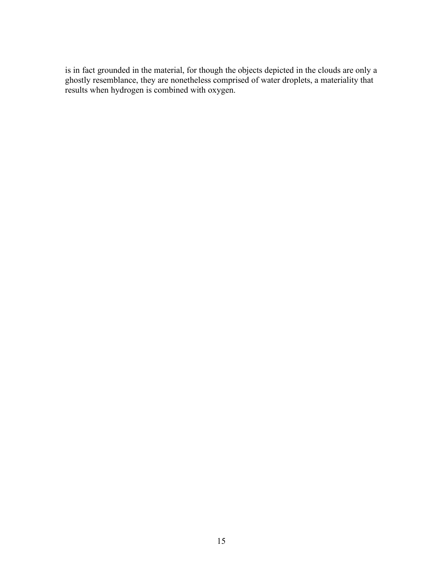is in fact grounded in the material, for though the objects depicted in the clouds are only a ghostly resemblance, they are nonetheless comprised of water droplets, a materiality that results when hydrogen is combined with oxygen.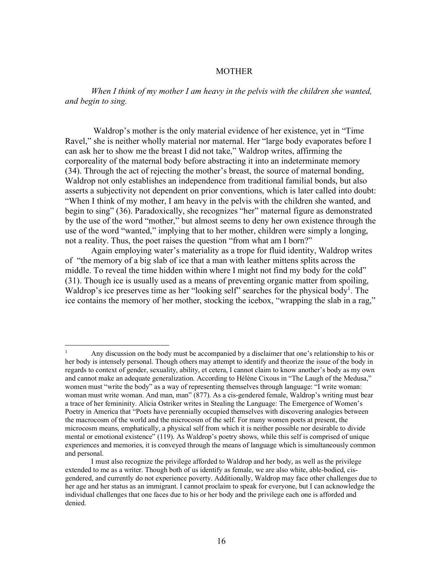#### MOTHER

*When I think of my mother I am heavy in the pelvis with the children she wanted, and begin to sing.* 

Waldrop's mother is the only material evidence of her existence, yet in "Time Ravel," she is neither wholly material nor maternal. Her "large body evaporates before I can ask her to show me the breast I did not take," Waldrop writes, affirming the corporeality of the maternal body before abstracting it into an indeterminate memory (34). Through the act of rejecting the mother's breast, the source of maternal bonding, Waldrop not only establishes an independence from traditional familial bonds, but also asserts a subjectivity not dependent on prior conventions, which is later called into doubt: "When I think of my mother, I am heavy in the pelvis with the children she wanted, and begin to sing" (36). Paradoxically, she recognizes "her" maternal figure as demonstrated by the use of the word "mother," but almost seems to deny her own existence through the use of the word "wanted," implying that to her mother, children were simply a longing, not a reality. Thus, the poet raises the question "from what am I born?"

Again employing water's materiality as a trope for fluid identity, Waldrop writes of "the memory of a big slab of ice that a man with leather mittens splits across the middle. To reveal the time hidden within where I might not find my body for the cold" (31). Though ice is usually used as a means of preventing organic matter from spoiling, Waldrop's ice preserves time as her "looking self" searches for the physical body<sup>1</sup>. The ice contains the memory of her mother, stocking the icebox, "wrapping the slab in a rag,"

<sup>&</sup>lt;sup>1</sup> Any discussion on the body must be accompanied by a disclaimer that one's relationship to his or her body is intensely personal. Though others may attempt to identify and theorize the issue of the body in regards to context of gender, sexuality, ability, et cetera, I cannot claim to know another's body as my own and cannot make an adequate generalization. According to Hélène Cixous in "The Laugh of the Medusa," women must "write the body" as a way of representing themselves through language: "I write woman: woman must write woman. And man, man" (877). As a cis-gendered female, Waldrop's writing must bear a trace of her femininity. Alicia Ostriker writes in Stealing the Language: The Emergence of Women's Poetry in America that "Poets have perennially occupied themselves with discovering analogies between the macrocosm of the world and the microcosm of the self. For many women poets at present, the microcosm means, emphatically, a physical self from which it is neither possible nor desirable to divide mental or emotional existence" (119). As Waldrop's poetry shows, while this self is comprised of unique experiences and memories, it is conveyed through the means of language which is simultaneously common and personal.

I must also recognize the privilege afforded to Waldrop and her body, as well as the privilege extended to me as a writer. Though both of us identify as female, we are also white, able-bodied, cisgendered, and currently do not experience poverty. Additionally, Waldrop may face other challenges due to her age and her status as an immigrant. I cannot proclaim to speak for everyone, but I can acknowledge the individual challenges that one faces due to his or her body and the privilege each one is afforded and denied.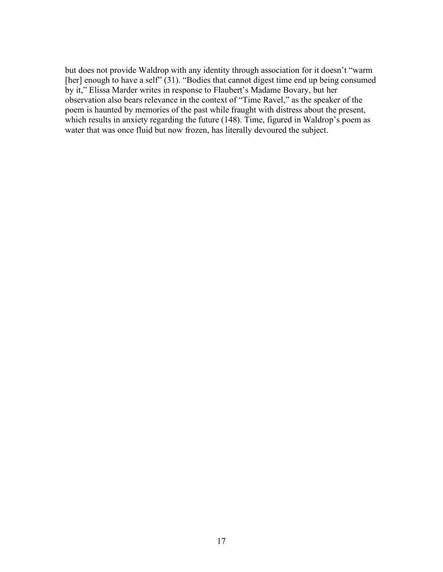but does not provide Waldrop with any identity through association for it doesn't "warm [her] enough to have a self" (31). "Bodies that cannot digest time end up being consumed by it," Elissa Marder writes in response to Flaubert's Madame Bovary, but her observation also bears relevance in the context of "Time Ravel," as the speaker of the poem is haunted by memories of the past while fraught with distress about the present, which results in anxiety regarding the future (148). Time, figured in Waldrop's poem as water that was once fluid but now frozen, has literally devoured the subject.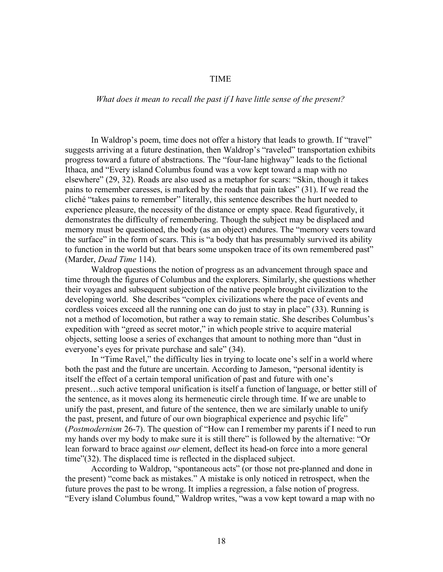## TIME

## *What does it mean to recall the past if I have little sense of the present?*

In Waldrop's poem, time does not offer a history that leads to growth. If "travel" suggests arriving at a future destination, then Waldrop's "raveled" transportation exhibits progress toward a future of abstractions. The "four-lane highway" leads to the fictional Ithaca, and "Every island Columbus found was a vow kept toward a map with no elsewhere" (29, 32). Roads are also used as a metaphor for scars: "Skin, though it takes pains to remember caresses, is marked by the roads that pain takes" (31). If we read the cliché "takes pains to remember" literally, this sentence describes the hurt needed to experience pleasure, the necessity of the distance or empty space. Read figuratively, it demonstrates the difficulty of remembering. Though the subject may be displaced and memory must be questioned, the body (as an object) endures. The "memory veers toward the surface" in the form of scars. This is "a body that has presumably survived its ability to function in the world but that bears some unspoken trace of its own remembered past" (Marder, *Dead Time* 114).

Waldrop questions the notion of progress as an advancement through space and time through the figures of Columbus and the explorers. Similarly, she questions whether their voyages and subsequent subjection of the native people brought civilization to the developing world. She describes "complex civilizations where the pace of events and cordless voices exceed all the running one can do just to stay in place" (33). Running is not a method of locomotion, but rather a way to remain static. She describes Columbus's expedition with "greed as secret motor," in which people strive to acquire material objects, setting loose a series of exchanges that amount to nothing more than "dust in everyone's eyes for private purchase and sale" (34).

In "Time Ravel," the difficulty lies in trying to locate one's self in a world where both the past and the future are uncertain. According to Jameson, "personal identity is itself the effect of a certain temporal unification of past and future with one's present…such active temporal unification is itself a function of language, or better still of the sentence, as it moves along its hermeneutic circle through time. If we are unable to unify the past, present, and future of the sentence, then we are similarly unable to unify the past, present, and future of our own biographical experience and psychic life" (*Postmodernism* 26-7). The question of "How can I remember my parents if I need to run my hands over my body to make sure it is still there" is followed by the alternative: "Or lean forward to brace against *our* element, deflect its head-on force into a more general time"(32). The displaced time is reflected in the displaced subject.

According to Waldrop, "spontaneous acts" (or those not pre-planned and done in the present) "come back as mistakes." A mistake is only noticed in retrospect, when the future proves the past to be wrong. It implies a regression, a false notion of progress. "Every island Columbus found," Waldrop writes, "was a vow kept toward a map with no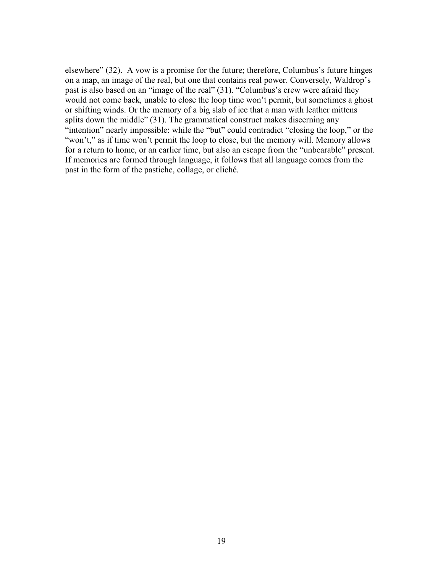elsewhere" (32). A vow is a promise for the future; therefore, Columbus's future hinges on a map, an image of the real, but one that contains real power. Conversely, Waldrop's past is also based on an "image of the real" (31). "Columbus's crew were afraid they would not come back, unable to close the loop time won't permit, but sometimes a ghost or shifting winds. Or the memory of a big slab of ice that a man with leather mittens splits down the middle" (31). The grammatical construct makes discerning any "intention" nearly impossible: while the "but" could contradict "closing the loop," or the "won't," as if time won't permit the loop to close, but the memory will. Memory allows for a return to home, or an earlier time, but also an escape from the "unbearable" present. If memories are formed through language, it follows that all language comes from the past in the form of the pastiche, collage, or cliché.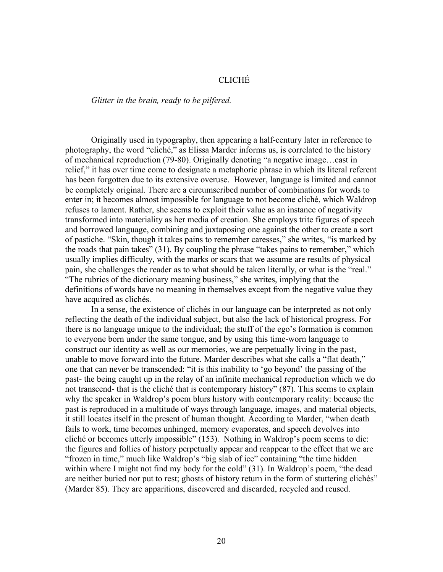# CLICHÉ

#### *Glitter in the brain, ready to be pilfered.*

Originally used in typography, then appearing a half-century later in reference to photography, the word "cliché," as Elissa Marder informs us, is correlated to the history of mechanical reproduction (79-80). Originally denoting "a negative image…cast in relief," it has over time come to designate a metaphoric phrase in which its literal referent has been forgotten due to its extensive overuse. However, language is limited and cannot be completely original. There are a circumscribed number of combinations for words to enter in; it becomes almost impossible for language to not become cliché, which Waldrop refuses to lament. Rather, she seems to exploit their value as an instance of negativity transformed into materiality as her media of creation. She employs trite figures of speech and borrowed language, combining and juxtaposing one against the other to create a sort of pastiche. "Skin, though it takes pains to remember caresses," she writes, "is marked by the roads that pain takes" (31). By coupling the phrase "takes pains to remember," which usually implies difficulty, with the marks or scars that we assume are results of physical pain, she challenges the reader as to what should be taken literally, or what is the "real." "The rubrics of the dictionary meaning business," she writes, implying that the definitions of words have no meaning in themselves except from the negative value they have acquired as clichés.

In a sense, the existence of clichés in our language can be interpreted as not only reflecting the death of the individual subject, but also the lack of historical progress. For there is no language unique to the individual; the stuff of the ego's formation is common to everyone born under the same tongue, and by using this time-worn language to construct our identity as well as our memories, we are perpetually living in the past, unable to move forward into the future. Marder describes what she calls a "flat death," one that can never be transcended: "it is this inability to 'go beyond' the passing of the past- the being caught up in the relay of an infinite mechanical reproduction which we do not transcend- that is the cliché that is contemporary history" (87). This seems to explain why the speaker in Waldrop's poem blurs history with contemporary reality: because the past is reproduced in a multitude of ways through language, images, and material objects, it still locates itself in the present of human thought. According to Marder, "when death fails to work, time becomes unhinged, memory evaporates, and speech devolves into cliché or becomes utterly impossible" (153). Nothing in Waldrop's poem seems to die: the figures and follies of history perpetually appear and reappear to the effect that we are "frozen in time," much like Waldrop's "big slab of ice" containing "the time hidden within where I might not find my body for the cold" (31). In Waldrop's poem, "the dead are neither buried nor put to rest; ghosts of history return in the form of stuttering clichés" (Marder 85). They are apparitions, discovered and discarded, recycled and reused.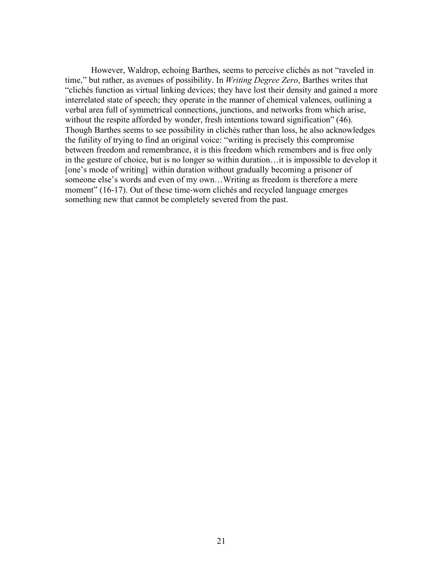However, Waldrop, echoing Barthes, seems to perceive clichés as not "raveled in time," but rather, as avenues of possibility. In *Writing Degree Zero*, Barthes writes that "clichés function as virtual linking devices; they have lost their density and gained a more interrelated state of speech; they operate in the manner of chemical valences, outlining a verbal area full of symmetrical connections, junctions, and networks from which arise, without the respite afforded by wonder, fresh intentions toward signification" (46). Though Barthes seems to see possibility in clichés rather than loss, he also acknowledges the futility of trying to find an original voice: "writing is precisely this compromise between freedom and remembrance, it is this freedom which remembers and is free only in the gesture of choice, but is no longer so within duration…it is impossible to develop it [one's mode of writing] within duration without gradually becoming a prisoner of someone else's words and even of my own…Writing as freedom is therefore a mere moment" (16-17). Out of these time-worn clichés and recycled language emerges something new that cannot be completely severed from the past.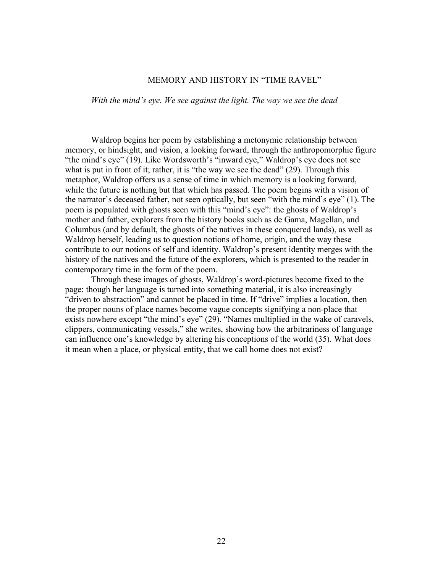# MEMORY AND HISTORY IN "TIME RAVEL"

*With the mind's eye. We see against the light. The way we see the dead*

Waldrop begins her poem by establishing a metonymic relationship between memory, or hindsight, and vision, a looking forward, through the anthropomorphic figure "the mind's eye" (19). Like Wordsworth's "inward eye," Waldrop's eye does not see what is put in front of it; rather, it is "the way we see the dead" (29). Through this metaphor, Waldrop offers us a sense of time in which memory is a looking forward, while the future is nothing but that which has passed. The poem begins with a vision of the narrator's deceased father, not seen optically, but seen "with the mind's eye" (1). The poem is populated with ghosts seen with this "mind's eye": the ghosts of Waldrop's mother and father, explorers from the history books such as de Gama, Magellan, and Columbus (and by default, the ghosts of the natives in these conquered lands), as well as Waldrop herself, leading us to question notions of home, origin, and the way these contribute to our notions of self and identity. Waldrop's present identity merges with the history of the natives and the future of the explorers, which is presented to the reader in contemporary time in the form of the poem.

Through these images of ghosts, Waldrop's word-pictures become fixed to the page: though her language is turned into something material, it is also increasingly "driven to abstraction" and cannot be placed in time. If "drive" implies a location, then the proper nouns of place names become vague concepts signifying a non-place that exists nowhere except "the mind's eye" (29). "Names multiplied in the wake of caravels, clippers, communicating vessels," she writes, showing how the arbitrariness of language can influence one's knowledge by altering his conceptions of the world (35). What does it mean when a place, or physical entity, that we call home does not exist?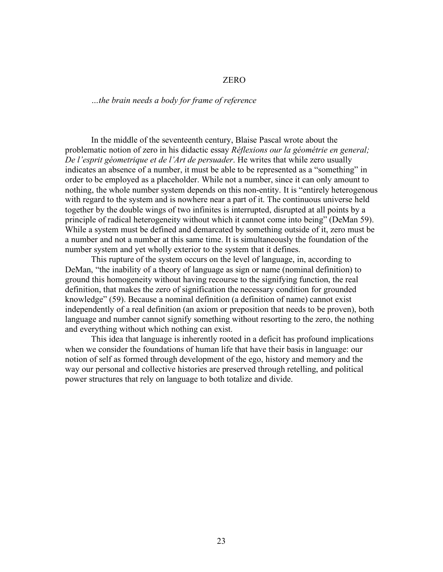# ZERO

#### *…the brain needs a body for frame of reference*

In the middle of the seventeenth century, Blaise Pascal wrote about the problematic notion of zero in his didactic essay *Réflexions our la géométrie en general; De l'esprit géometrique et de l'Art de persuader*. He writes that while zero usually indicates an absence of a number, it must be able to be represented as a "something" in order to be employed as a placeholder. While not a number, since it can only amount to nothing, the whole number system depends on this non-entity. It is "entirely heterogenous with regard to the system and is nowhere near a part of it. The continuous universe held together by the double wings of two infinites is interrupted, disrupted at all points by a principle of radical heterogeneity without which it cannot come into being" (DeMan 59). While a system must be defined and demarcated by something outside of it, zero must be a number and not a number at this same time. It is simultaneously the foundation of the number system and yet wholly exterior to the system that it defines.

This rupture of the system occurs on the level of language, in, according to DeMan, "the inability of a theory of language as sign or name (nominal definition) to ground this homogeneity without having recourse to the signifying function, the real definition, that makes the zero of signification the necessary condition for grounded knowledge" (59). Because a nominal definition (a definition of name) cannot exist independently of a real definition (an axiom or preposition that needs to be proven), both language and number cannot signify something without resorting to the zero, the nothing and everything without which nothing can exist.

This idea that language is inherently rooted in a deficit has profound implications when we consider the foundations of human life that have their basis in language: our notion of self as formed through development of the ego, history and memory and the way our personal and collective histories are preserved through retelling, and political power structures that rely on language to both totalize and divide.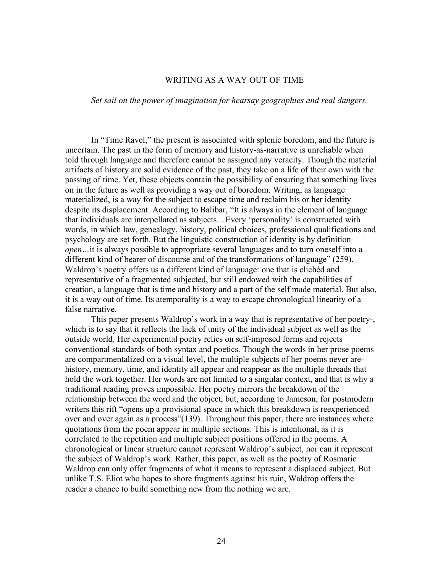# WRITING AS A WAY OUT OF TIME

*Set sail on the power of imagination for hearsay geographies and real dangers.* 

In "Time Ravel," the present is associated with splenic boredom, and the future is uncertain. The past in the form of memory and history-as-narrative is unreliable when told through language and therefore cannot be assigned any veracity. Though the material artifacts of history are solid evidence of the past, they take on a life of their own with the passing of time. Yet, these objects contain the possibility of ensuring that something lives on in the future as well as providing a way out of boredom. Writing, as language materialized, is a way for the subject to escape time and reclaim his or her identity despite its displacement. According to Balibar, "It is always in the element of language that individuals are interpellated as subjects…Every 'personality' is constructed with words, in which law, genealogy, history, political choices, professional qualifications and psychology are set forth. But the linguistic construction of identity is by definition *open…*it is always possible to appropriate several languages and to turn oneself into a different kind of bearer of discourse and of the transformations of language" (259). Waldrop's poetry offers us a different kind of language: one that is clichéd and representative of a fragmented subjected, but still endowed with the capabilities of creation, a language that is time and history and a part of the self made material. But also, it is a way out of time. Its atemporality is a way to escape chronological linearity of a false narrative.

This paper presents Waldrop's work in a way that is representative of her poetry-, which is to say that it reflects the lack of unity of the individual subject as well as the outside world. Her experimental poetry relies on self-imposed forms and rejects conventional standards of both syntax and poetics. Though the words in her prose poems are compartmentalized on a visual level, the multiple subjects of her poems never arehistory, memory, time, and identity all appear and reappear as the multiple threads that hold the work together. Her words are not limited to a singular context, and that is why a traditional reading proves impossible. Her poetry mirrors the breakdown of the relationship between the word and the object, but, according to Jameson, for postmodern writers this rift "opens up a provisional space in which this breakdown is reexperienced over and over again as a process"(139). Throughout this paper, there are instances where quotations from the poem appear in multiple sections. This is intentional, as it is correlated to the repetition and multiple subject positions offered in the poems. A chronological or linear structure cannot represent Waldrop's subject, nor can it represent the subject of Waldrop's work. Rather, this paper, as well as the poetry of Rosmarie Waldrop can only offer fragments of what it means to represent a displaced subject. But unlike T.S. Eliot who hopes to shore fragments against his ruin, Waldrop offers the reader a chance to build something new from the nothing we are.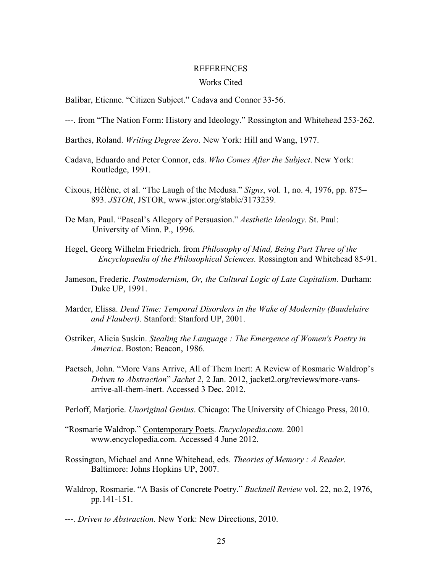#### REFERENCES

#### Works Cited

Balibar, Etienne. "Citizen Subject." Cadava and Connor 33-56.

- ---. from "The Nation Form: History and Ideology." Rossington and Whitehead 253-262.
- Barthes, Roland. *Writing Degree Zero*. New York: Hill and Wang, 1977.
- Cadava, Eduardo and Peter Connor, eds. *Who Comes After the Subject*. New York: Routledge, 1991.
- Cixous, Hélène, et al. "The Laugh of the Medusa." *Signs*, vol. 1, no. 4, 1976, pp. 875– 893. *JSTOR*, JSTOR, www.jstor.org/stable/3173239.
- De Man, Paul. "Pascal's Allegory of Persuasion." *Aesthetic Ideology*. St. Paul: University of Minn. P., 1996.
- Hegel, Georg Wilhelm Friedrich. from *Philosophy of Mind, Being Part Three of the Encyclopaedia of the Philosophical Sciences.* Rossington and Whitehead 85-91.
- Jameson, Frederic. *Postmodernism, Or, the Cultural Logic of Late Capitalism.* Durham: Duke UP, 1991.
- Marder, Elissa. *Dead Time: Temporal Disorders in the Wake of Modernity (Baudelaire and Flaubert)*. Stanford: Stanford UP, 2001.
- Ostriker, Alicia Suskin. *Stealing the Language : The Emergence of Women's Poetry in America*. Boston: Beacon, 1986.
- Paetsch, John. "More Vans Arrive, All of Them Inert: A Review of Rosmarie Waldrop's *Driven to Abstraction*" *Jacket 2*, 2 Jan. 2012, jacket2.org/reviews/more-vansarrive-all-them-inert. Accessed 3 Dec. 2012.
- Perloff, Marjorie. *Unoriginal Genius*. Chicago: The University of Chicago Press, 2010.
- "Rosmarie Waldrop." Contemporary Poets. *Encyclopedia.com.* 2001 www.encyclopedia.com. Accessed 4 June 2012.
- Rossington, Michael and Anne Whitehead, eds. *Theories of Memory : A Reader*. Baltimore: Johns Hopkins UP, 2007.
- Waldrop, Rosmarie. "A Basis of Concrete Poetry." *Bucknell Review* vol. 22, no.2, 1976, pp.141-151.
- ---. *Driven to Abstraction.* New York: New Directions, 2010.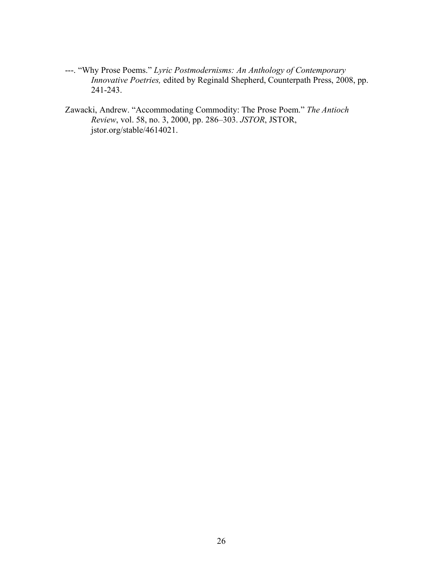- ---. "Why Prose Poems." *Lyric Postmodernisms: An Anthology of Contemporary Innovative Poetries,* edited by Reginald Shepherd, Counterpath Press, 2008, pp. 241-243.
- Zawacki, Andrew. "Accommodating Commodity: The Prose Poem." *The Antioch Review*, vol. 58, no. 3, 2000, pp. 286–303. *JSTOR*, JSTOR, jstor.org/stable/4614021.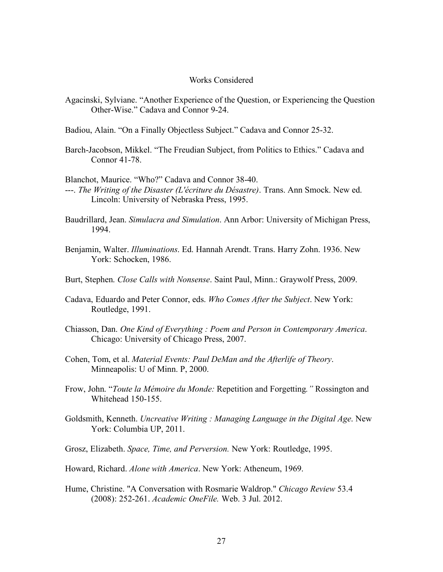# Works Considered

Agacinski, Sylviane. "Another Experience of the Question, or Experiencing the Question Other-Wise." Cadava and Connor 9-24.

Badiou, Alain. "On a Finally Objectless Subject." Cadava and Connor 25-32.

Barch-Jacobson, Mikkel. "The Freudian Subject, from Politics to Ethics." Cadava and Connor 41-78.

Blanchot, Maurice. "Who?" Cadava and Connor 38-40.

- ---. *The Writing of the Disaster (L'écriture du Désastre)*. Trans. Ann Smock. New ed. Lincoln: University of Nebraska Press, 1995.
- Baudrillard, Jean. *Simulacra and Simulation*. Ann Arbor: University of Michigan Press, 1994.
- Benjamin, Walter. *Illuminations*. Ed. Hannah Arendt. Trans. Harry Zohn. 1936. New York: Schocken, 1986.
- Burt, Stephen. *Close Calls with Nonsense*. Saint Paul, Minn.: Graywolf Press, 2009.
- Cadava, Eduardo and Peter Connor, eds. *Who Comes After the Subject*. New York: Routledge, 1991.
- Chiasson, Dan. *One Kind of Everything : Poem and Person in Contemporary America*. Chicago: University of Chicago Press, 2007.
- Cohen, Tom, et al. *Material Events: Paul DeMan and the Afterlife of Theory*. Minneapolis: U of Minn. P, 2000.
- Frow, John. "*Toute la Mémoire du Monde:* Repetition and Forgetting*."* Rossington and Whitehead 150-155.
- Goldsmith, Kenneth. *Uncreative Writing : Managing Language in the Digital Age*. New York: Columbia UP, 2011.
- Grosz, Elizabeth. *Space, Time, and Perversion.* New York: Routledge, 1995.
- Howard, Richard. *Alone with America*. New York: Atheneum, 1969.
- Hume, Christine. "A Conversation with Rosmarie Waldrop." *Chicago Review* 53.4 (2008): 252-261. *Academic OneFile.* Web. 3 Jul. 2012.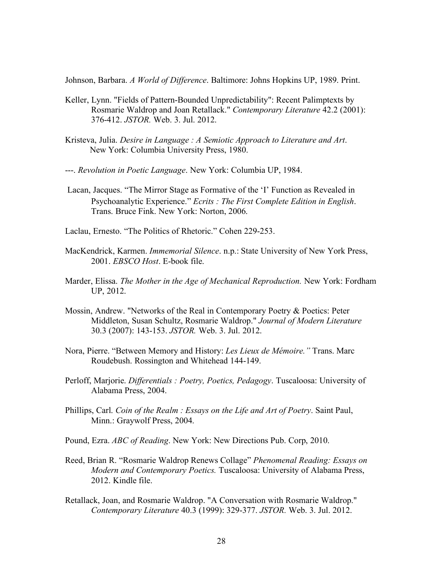Johnson, Barbara. *A World of Difference*. Baltimore: Johns Hopkins UP, 1989. Print.

- Keller, Lynn. "Fields of Pattern-Bounded Unpredictability": Recent Palimptexts by Rosmarie Waldrop and Joan Retallack." *Contemporary Literature* 42.2 (2001): 376-412. *JSTOR.* Web. 3. Jul. 2012.
- Kristeva, Julia. *Desire in Language : A Semiotic Approach to Literature and Art*. New York: Columbia University Press, 1980.
- ---. *Revolution in Poetic Language*. New York: Columbia UP, 1984.
- Lacan, Jacques. "The Mirror Stage as Formative of the 'I' Function as Revealed in Psychoanalytic Experience." *Ecrits : The First Complete Edition in English*. Trans. Bruce Fink. New York: Norton, 2006.
- Laclau, Ernesto. "The Politics of Rhetoric." Cohen 229-253.
- MacKendrick, Karmen. *Immemorial Silence*. n.p.: State University of New York Press, 2001. *EBSCO Host*. E-book file.
- Marder, Elissa. *The Mother in the Age of Mechanical Reproduction.* New York: Fordham UP, 2012.
- Mossin, Andrew. "Networks of the Real in Contemporary Poetry & Poetics: Peter Middleton, Susan Schultz, Rosmarie Waldrop." *Journal of Modern Literature*  30.3 (2007): 143-153. *JSTOR.* Web. 3. Jul. 2012.
- Nora, Pierre. "Between Memory and History: *Les Lieux de Mémoire."* Trans. Marc Roudebush. Rossington and Whitehead 144-149.
- Perloff, Marjorie. *Differentials : Poetry, Poetics, Pedagogy*. Tuscaloosa: University of Alabama Press, 2004.
- Phillips, Carl. *Coin of the Realm : Essays on the Life and Art of Poetry*. Saint Paul, Minn.: Graywolf Press, 2004.
- Pound, Ezra. *ABC of Reading*. New York: New Directions Pub. Corp, 2010.
- Reed, Brian R. "Rosmarie Waldrop Renews Collage" *Phenomenal Reading: Essays on Modern and Contemporary Poetics.* Tuscaloosa: University of Alabama Press, 2012. Kindle file.
- Retallack, Joan, and Rosmarie Waldrop. "A Conversation with Rosmarie Waldrop." *Contemporary Literature* 40.3 (1999): 329-377. *JSTOR.* Web. 3. Jul. 2012.